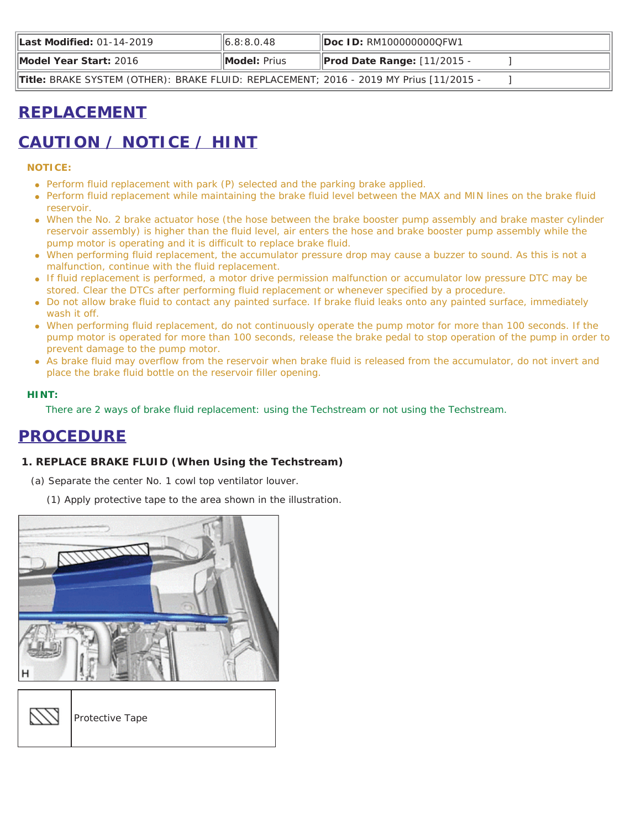| Last Modified: 01-14-2019                                                              | $\vert\vert 6.8; 8.0.48 \vert$ | <b>IDoc ID: RM1000000000FW1</b>    |  |
|----------------------------------------------------------------------------------------|--------------------------------|------------------------------------|--|
| Model Year Start: 2016                                                                 | <b>IModel:</b> Prius           | <b>Prod Date Range: [11/2015 -</b> |  |
| Title: BRAKE SYSTEM (OTHER): BRAKE FLUID: REPLACEMENT; 2016 - 2019 MY Prius [11/2015 - |                                |                                    |  |

# **REPLACEMENT**

# **CAUTION / NOTICE / HINT**

## **NOTICE:**

- Perform fluid replacement with park (P) selected and the parking brake applied.
- Perform fluid replacement while maintaining the brake fluid level between the MAX and MIN lines on the brake fluid reservoir.
- When the No. 2 brake actuator hose (the hose between the brake booster pump assembly and brake master cylinder reservoir assembly) is higher than the fluid level, air enters the hose and brake booster pump assembly while the pump motor is operating and it is difficult to replace brake fluid.
- When performing fluid replacement, the accumulator pressure drop may cause a buzzer to sound. As this is not a malfunction, continue with the fluid replacement.
- If fluid replacement is performed, a motor drive permission malfunction or accumulator low pressure DTC may be stored. Clear the DTCs after performing fluid replacement or whenever specified by a procedure.
- Do not allow brake fluid to contact any painted surface. If brake fluid leaks onto any painted surface, immediately wash it off.
- When performing fluid replacement, do not continuously operate the pump motor for more than 100 seconds. If the pump motor is operated for more than 100 seconds, release the brake pedal to stop operation of the pump in order to prevent damage to the pump motor.
- As brake fluid may overflow from the reservoir when brake fluid is released from the accumulator, do not invert and place the brake fluid bottle on the reservoir filler opening.

## **HINT:**

There are 2 ways of brake fluid replacement: using the Techstream or not using the Techstream.

## **PROCEDURE**

## **1. REPLACE BRAKE FLUID (When Using the Techstream)**

- (a) Separate the center No. 1 cowl top ventilator louver.
	- (1) Apply protective tape to the area shown in the illustration.

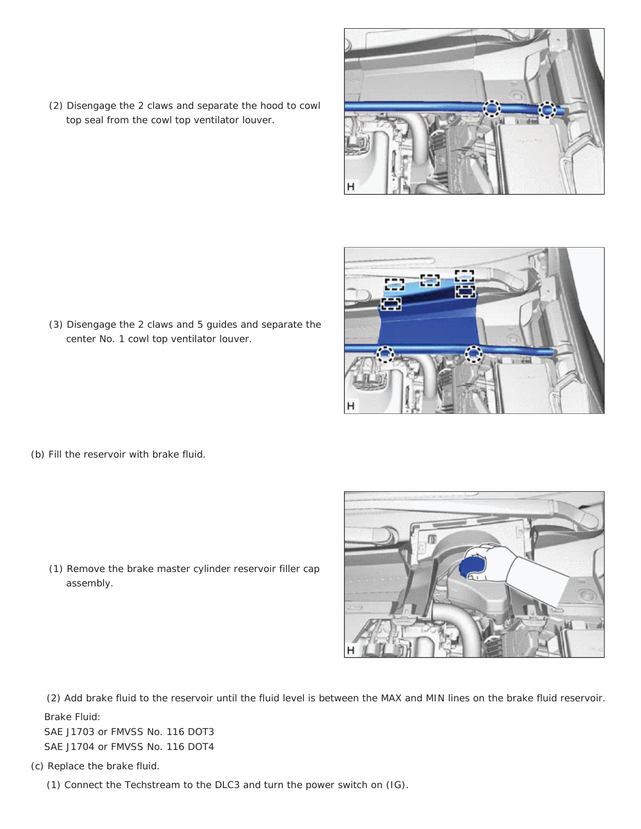

(3) Disengage the 2 claws and 5 guides and separate the center No. 1 cowl top ventilator louver.

(2) Disengage the 2 claws and separate the hood to cowl

top seal from the cowl top ventilator louver.

(b) Fill the reservoir with brake fluid.

(1) Remove the brake master cylinder reservoir filler cap assembly.

(2) Add brake fluid to the reservoir until the fluid level is between the MAX and MIN lines on the brake fluid reservoir. Brake Fluid:

SAE J1703 or FMVSS No. 116 DOT3 SAE J1704 or FMVSS No. 116 DOT4

(c) Replace the brake fluid.

(1) Connect the Techstream to the DLC3 and turn the power switch on (IG).



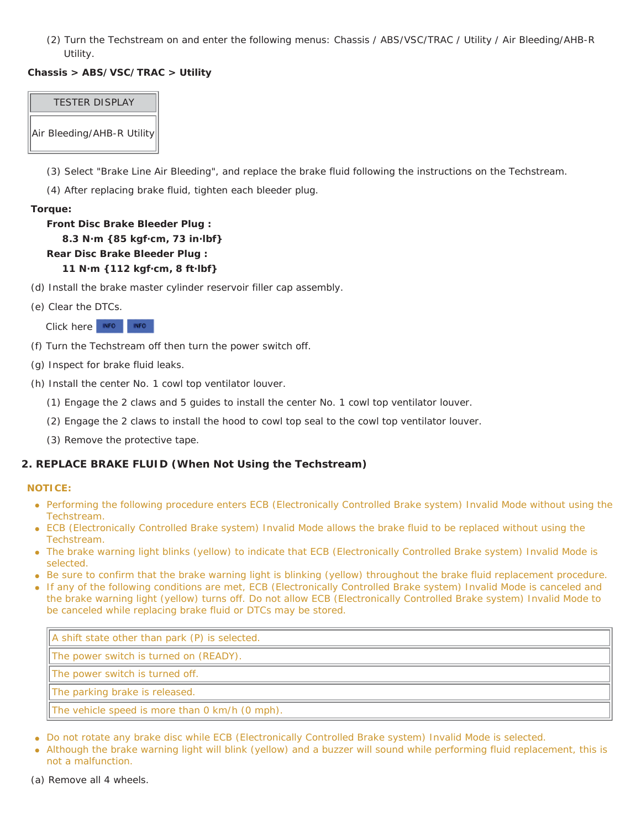(2) Turn the Techstream on and enter the following menus: Chassis / ABS/VSC/TRAC / Utility / Air Bleeding/AHB-R Utility.

## **Chassis > ABS/VSC/TRAC > Utility**

## TESTER DISPLAY

Air Bleeding/AHB-R Utility

(3) Select "Brake Line Air Bleeding", and replace the brake fluid following the instructions on the Techstream.

(4) After replacing brake fluid, tighten each bleeder plug.

## **Torque:**

## **Front Disc Brake Bleeder Plug : 8.3 N·m {85 kgf·cm, 73 in·lbf} Rear Disc Brake Bleeder Plug : 11 N·m {112 kgf·cm, 8 ft·lbf}**

- (d) Install the brake master cylinder reservoir filler cap assembly.
- (e) Clear the DTCs.

Click here INFO INFO

- (f) Turn the Techstream off then turn the power switch off.
- (g) Inspect for brake fluid leaks.
- (h) Install the center No. 1 cowl top ventilator louver.
	- (1) Engage the 2 claws and 5 guides to install the center No. 1 cowl top ventilator louver.
	- (2) Engage the 2 claws to install the hood to cowl top seal to the cowl top ventilator louver.
	- (3) Remove the protective tape.

## **2. REPLACE BRAKE FLUID (When Not Using the Techstream)**

## **NOTICE:**

- Performing the following procedure enters ECB (Electronically Controlled Brake system) Invalid Mode without using the Techstream.
- ECB (Electronically Controlled Brake system) Invalid Mode allows the brake fluid to be replaced without using the Techstream.
- The brake warning light blinks (yellow) to indicate that ECB (Electronically Controlled Brake system) Invalid Mode is selected.
- Be sure to confirm that the brake warning light is blinking (yellow) throughout the brake fluid replacement procedure.
- If any of the following conditions are met, ECB (Electronically Controlled Brake system) Invalid Mode is canceled and the brake warning light (yellow) turns off. Do not allow ECB (Electronically Controlled Brake system) Invalid Mode to be canceled while replacing brake fluid or DTCs may be stored.

A shift state other than park (P) is selected.

The power switch is turned on (READY).

The power switch is turned off.

The parking brake is released.

The vehicle speed is more than 0 km/h (0 mph).

- Do not rotate any brake disc while ECB (Electronically Controlled Brake system) Invalid Mode is selected.
- Although the brake warning light will blink (yellow) and a buzzer will sound while performing fluid replacement, this is not a malfunction.
- (a) Remove all 4 wheels.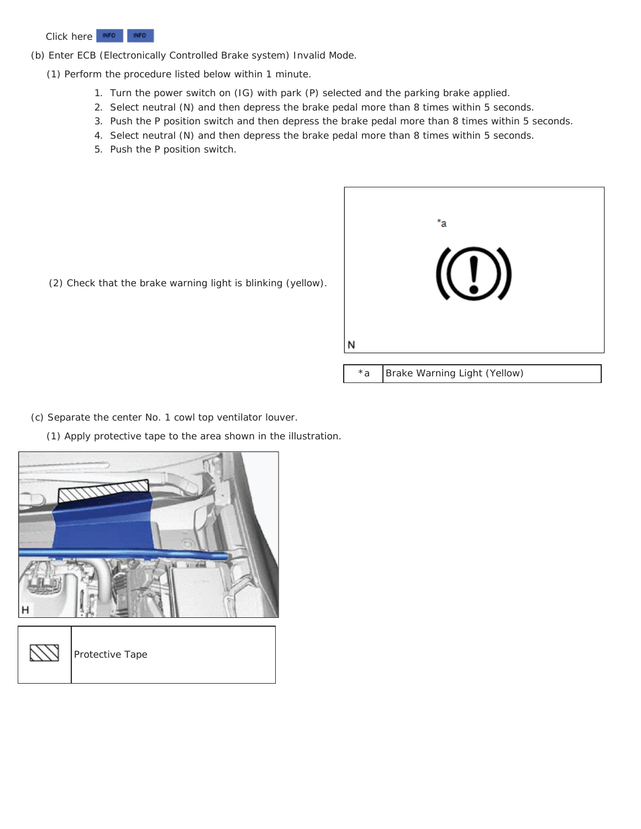

(b) Enter ECB (Electronically Controlled Brake system) Invalid Mode.

- (1) Perform the procedure listed below within 1 minute.
	- 1. Turn the power switch on (IG) with park (P) selected and the parking brake applied.
	- 2. Select neutral (N) and then depress the brake pedal more than 8 times within 5 seconds.
	- 3. Push the P position switch and then depress the brake pedal more than 8 times within 5 seconds.
	- 4. Select neutral (N) and then depress the brake pedal more than 8 times within 5 seconds.
	- 5. Push the P position switch.



(2) Check that the brake warning light is blinking (yellow).

\*a | Brake Warning Light (Yellow)

(c) Separate the center No. 1 cowl top ventilator louver.

(1) Apply protective tape to the area shown in the illustration.

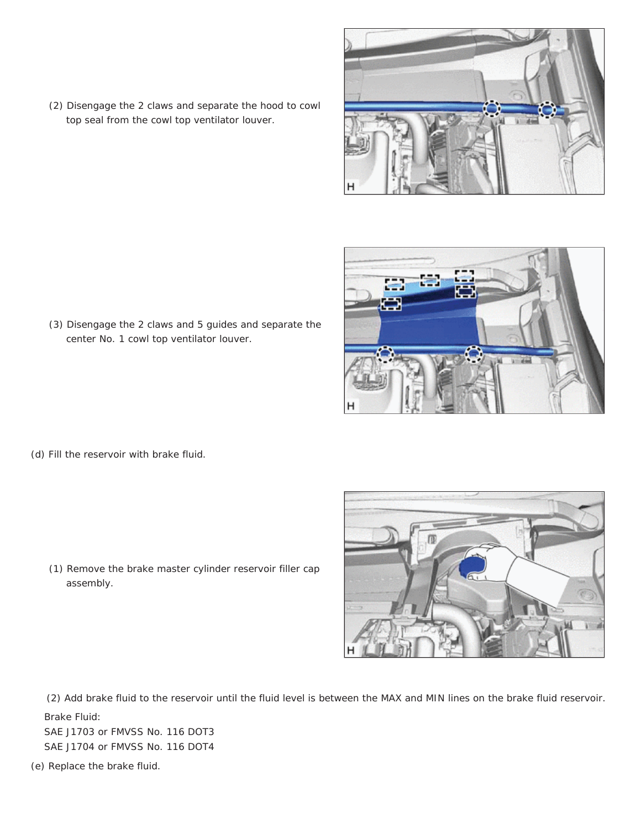

(3) Disengage the 2 claws and 5 guides and separate the center No. 1 cowl top ventilator louver.

(2) Disengage the 2 claws and separate the hood to cowl

top seal from the cowl top ventilator louver.

(d) Fill the reservoir with brake fluid.

(1) Remove the brake master cylinder reservoir filler cap assembly.

(2) Add brake fluid to the reservoir until the fluid level is between the MAX and MIN lines on the brake fluid reservoir. Brake Fluid:

SAE J1703 or FMVSS No. 116 DOT3 SAE J1704 or FMVSS No. 116 DOT4

(e) Replace the brake fluid.



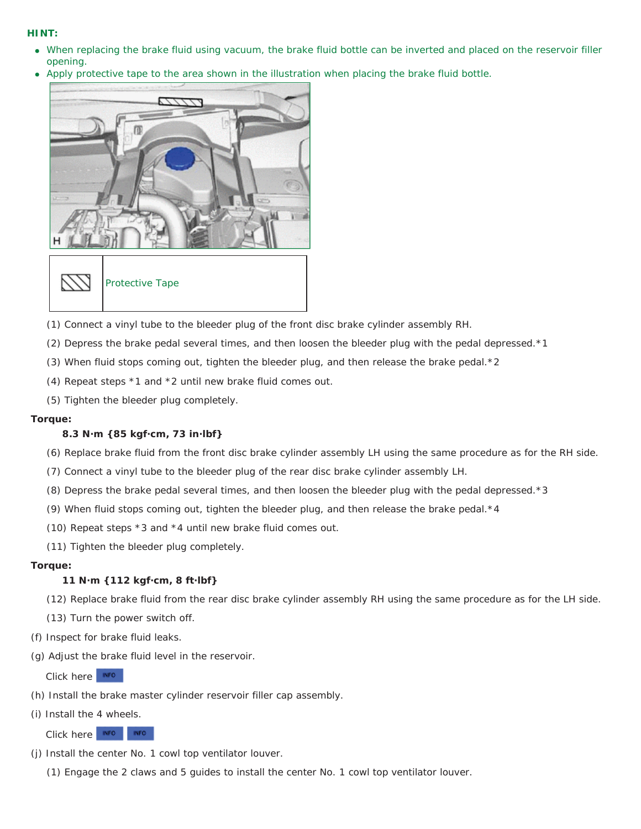### **HINT:**

- When replacing the brake fluid using vacuum, the brake fluid bottle can be inverted and placed on the reservoir filler opening.
- Apply protective tape to the area shown in the illustration when placing the brake fluid bottle.





Protective Tape

- (1) Connect a vinyl tube to the bleeder plug of the front disc brake cylinder assembly RH.
- (2) Depress the brake pedal several times, and then loosen the bleeder plug with the pedal depressed.\*1
- (3) When fluid stops coming out, tighten the bleeder plug, and then release the brake pedal.\*2
- (4) Repeat steps \*1 and \*2 until new brake fluid comes out.
- (5) Tighten the bleeder plug completely.

#### **Torque:**

#### **8.3 N·m {85 kgf·cm, 73 in·lbf}**

- (6) Replace brake fluid from the front disc brake cylinder assembly LH using the same procedure as for the RH side.
- (7) Connect a vinyl tube to the bleeder plug of the rear disc brake cylinder assembly LH.
- (8) Depress the brake pedal several times, and then loosen the bleeder plug with the pedal depressed.\*3
- (9) When fluid stops coming out, tighten the bleeder plug, and then release the brake pedal.\*4
- (10) Repeat steps \*3 and \*4 until new brake fluid comes out.
- (11) Tighten the bleeder plug completely.

#### **Torque:**

#### **11 N·m {112 kgf·cm, 8 ft·lbf}**

- (12) Replace brake fluid from the rear disc brake cylinder assembly RH using the same procedure as for the LH side.
- (13) Turn the power switch off.
- (f) Inspect for brake fluid leaks.
- (g) Adjust the brake fluid level in the reservoir.

Click here **NFO** 

- (h) Install the brake master cylinder reservoir filler cap assembly.
- (i) Install the 4 wheels.

Click here **NFO** INFO.

- (j) Install the center No. 1 cowl top ventilator louver.
	- (1) Engage the 2 claws and 5 guides to install the center No. 1 cowl top ventilator louver.